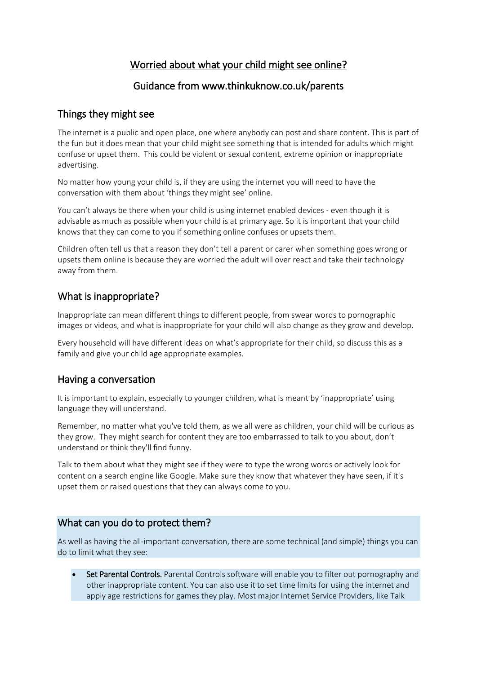# Worried about what your child might see online?

### Guidance from www.thinkuknow.co.uk/parents

### Things they might see

The internet is a public and open place, one where anybody can post and share content. This is part of the fun but it does mean that your child might see something that is intended for adults which might confuse or upset them. This could be violent or sexual content, extreme opinion or inappropriate advertising.

No matter how young your child is, if they are using the internet you will need to have the conversation with them about 'things they might see' online.

You can't always be there when your child is using internet enabled devices - even though it is advisable as much as possible when your child is at primary age. So it is important that your child knows that they can come to you if something online confuses or upsets them.

Children often tell us that a reason they don't tell a parent or carer when something goes wrong or upsets them online is because they are worried the adult will over react and take their technology away from them.

# What is inappropriate?

Inappropriate can mean different things to different people, from swear words to pornographic images or videos, and what is inappropriate for your child will also change as they grow and develop.

Every household will have different ideas on what's appropriate for their child, so discuss this as a family and give your child age appropriate examples.

## Having a conversation

It is important to explain, especially to younger children, what is meant by 'inappropriate' using language they will understand.

Remember, no matter what you've told them, as we all were as children, your child will be curious as they grow. They might search for content they are too embarrassed to talk to you about, don't understand or think they'll find funny.

Talk to them about what they might see if they were to type the wrong words or actively look for content on a search engine like Google. Make sure they know that whatever they have seen, if it's upset them or raised questions that they can always come to you.

## What can you do to protect them?

As well as having the all-important conversation, there are some technical (and simple) things you can do to limit what they see:

Set Parental Controls. Parental Controls software will enable you to filter out pornography and other inappropriate content. You can also use it to set time limits for using the internet and apply age restrictions for games they play. Most major Internet Service Providers, like Talk